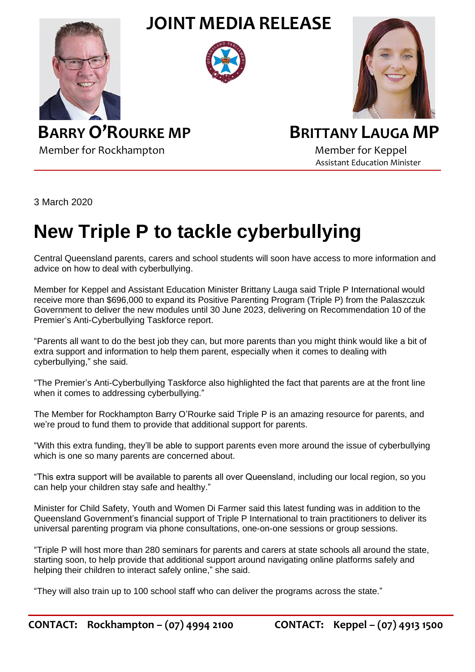**JOINT MEDIA RELEASE**







Member for Rockhampton Member for Keppel

## **BARRY O'ROURKE MP BRITTANY LAUGA MP**

Assistant Education Minister

3 March 2020

## **New Triple P to tackle cyberbullying**

Central Queensland parents, carers and school students will soon have access to more information and advice on how to deal with cyberbullying.

Member for Keppel and Assistant Education Minister Brittany Lauga said Triple P International would receive more than \$696,000 to expand its Positive Parenting Program (Triple P) from the Palaszczuk Government to deliver the new modules until 30 June 2023, delivering on Recommendation 10 of the Premier's Anti-Cyberbullying Taskforce report.

"Parents all want to do the best job they can, but more parents than you might think would like a bit of extra support and information to help them parent, especially when it comes to dealing with cyberbullying," she said.

"The Premier's Anti-Cyberbullying Taskforce also highlighted the fact that parents are at the front line when it comes to addressing cyberbullying."

The Member for Rockhampton Barry O'Rourke said Triple P is an amazing resource for parents, and we're proud to fund them to provide that additional support for parents.

"With this extra funding, they'll be able to support parents even more around the issue of cyberbullying which is one so many parents are concerned about.

"This extra support will be available to parents all over Queensland, including our local region, so you can help your children stay safe and healthy."

Minister for Child Safety, Youth and Women Di Farmer said this latest funding was in addition to the Queensland Government's financial support of Triple P International to train practitioners to deliver its universal parenting program via phone consultations, one-on-one sessions or group sessions.

"Triple P will host more than 280 seminars for parents and carers at state schools all around the state, starting soon, to help provide that additional support around navigating online platforms safely and helping their children to interact safely online," she said.

"They will also train up to 100 school staff who can deliver the programs across the state."